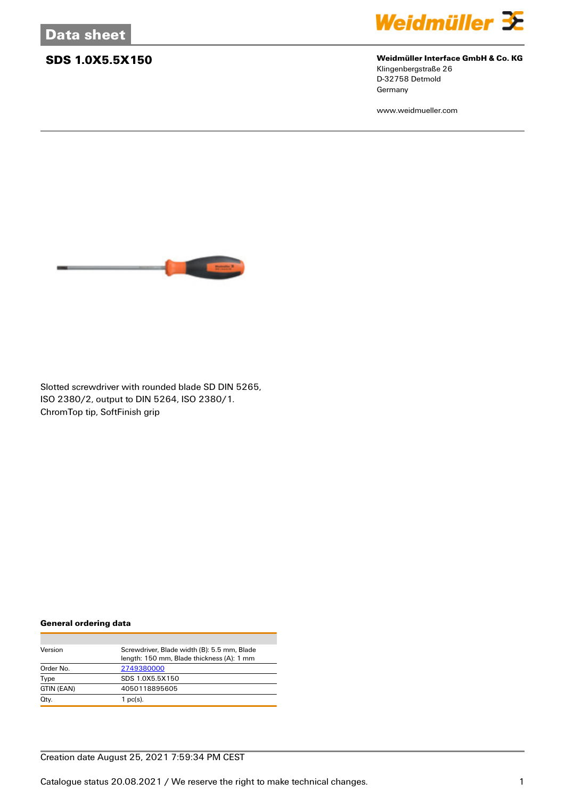

### **SDS 1.0X5.5X150 Weidmüller Interface GmbH & Co. KG**

Klingenbergstraße 26 D-32758 Detmold Germany

www.weidmueller.com



Slotted screwdriver with rounded blade SD DIN 5265, ISO 2380/2, output to DIN 5264, ISO 2380/1. ChromTop tip, SoftFinish grip

#### **General ordering data**

| Version    | Screwdriver, Blade width (B): 5.5 mm, Blade<br>length: 150 mm, Blade thickness (A): 1 mm |  |  |
|------------|------------------------------------------------------------------------------------------|--|--|
| Order No.  | 2749380000                                                                               |  |  |
| Type       | SDS 1.0X5.5X150                                                                          |  |  |
| GTIN (EAN) | 4050118895605                                                                            |  |  |
| Qty.       | $1$ pc(s).                                                                               |  |  |

### Creation date August 25, 2021 7:59:34 PM CEST